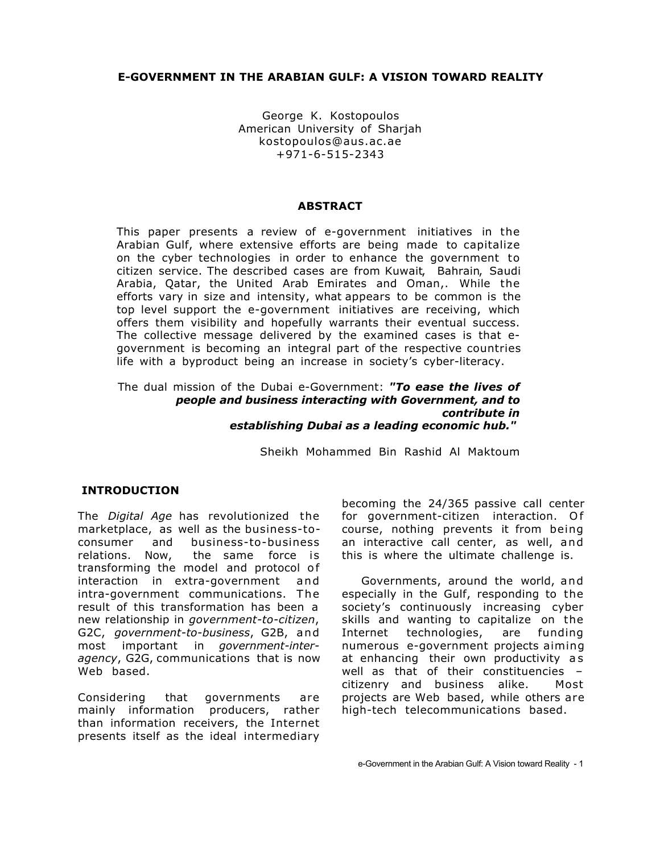### **E-GOVERNMENT IN THE ARABIAN GULF: A VISION TOWARD REALITY**

George K. Kostopoulos American University of Sharjah kostopoulos@aus.ac.ae +971-6-515-2343

#### **ABSTRACT**

This paper presents a review of e-government initiatives in the Arabian Gulf, where extensive efforts are being made to capitalize on the cyber technologies in order to enhance the government to citizen service. The described cases are from Kuwait, Bahrain, Saudi Arabia, Qatar, the United Arab Emirates and Oman,. While the efforts vary in size and intensity, what appears to be common is the top level support the e-government initiatives are receiving, which offers them visibility and hopefully warrants their eventual success. The collective message delivered by the examined cases is that egovernment is becoming an integral part of the respective countries life with a byproduct being an increase in society's cyber-literacy.

#### The dual mission of the Dubai e-Government: *"To ease the lives of people and business interacting with Government, and to contribute in establishing Dubai as a leading economic hub."*

Sheikh Mohammed Bin Rashid Al Maktoum

### **INTRODUCTION**

The *Digital Age* has revolutionized the marketplace, as well as the business-toconsumer and business-to-business relations. Now, the same force is transforming the model and protocol of interaction in extra-government and intra-government communications. The result of this transformation has been a new relationship in *government-to-citizen*, G2C, *government-to-business*, G2B, and most important in *government-interagency*, G2G, communications that is now Web based.

Considering that governments are mainly information producers, rather than information receivers, the Internet presents itself as the ideal intermediary

becoming the 24/365 passive call center for government-citizen interaction. Of course, nothing prevents it from being an interactive call center, as well, and this is where the ultimate challenge is.

Governments, around the world, and especially in the Gulf, responding to the society's continuously increasing cyber skills and wanting to capitalize on the Internet technologies, are funding numerous e-government projects aiming at enhancing their own productivity as well as that of their constituencies – citizenry and business alike. Most projects are Web based, while others are high-tech telecommunications based.

e-Government in the Arabian Gulf: A Vision toward Reality - 1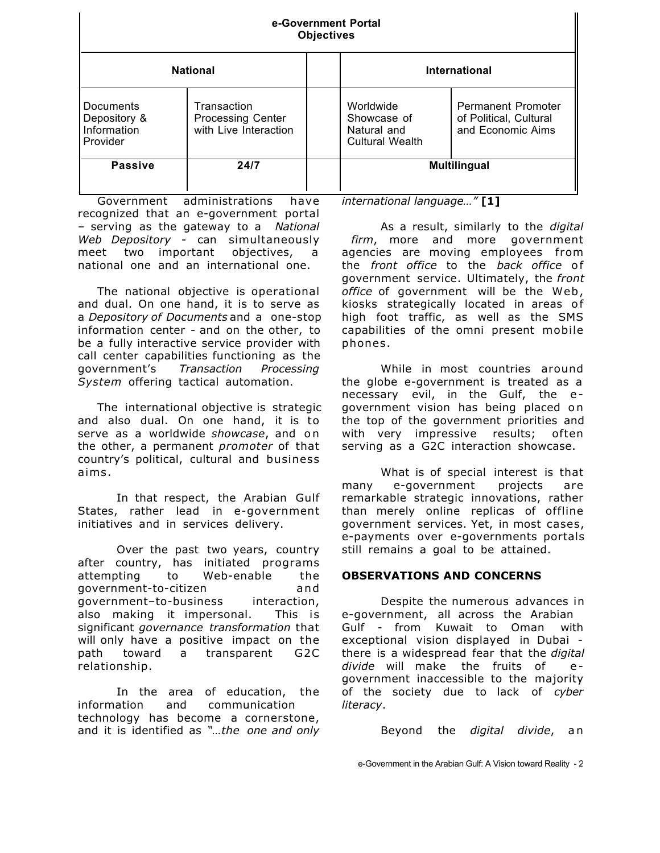| e-Government Portal<br><b>Objectives</b>             |                                                                  |                                                                   |                                                                          |  |
|------------------------------------------------------|------------------------------------------------------------------|-------------------------------------------------------------------|--------------------------------------------------------------------------|--|
| <b>National</b>                                      |                                                                  | International                                                     |                                                                          |  |
| Documents<br>Depository &<br>Information<br>Provider | Transaction<br><b>Processing Center</b><br>with Live Interaction | Worldwide<br>Showcase of<br>Natural and<br><b>Cultural Wealth</b> | <b>Permanent Promoter</b><br>of Political, Cultural<br>and Economic Aims |  |
| <b>Passive</b>                                       | 24/7                                                             |                                                                   | <b>Multilingual</b>                                                      |  |

Government administrations have recognized that an e-government portal – serving as the gateway to a *National Web Depository* - can simultaneously meet two important objectives, a national one and an international one.

The national objective is operational and dual. On one hand, it is to serve as a *Depository of Documents* and a one-stop information center - and on the other, to be a fully interactive service provider with call center capabilities functioning as the government's *Transaction Processing System* offering tactical automation.

The international objective is strategic and also dual. On one hand, it is to serve as a worldwide *showcase*, and o n the other, a permanent *promoter* of that country's political, cultural and business aims.

In that respect, the Arabian Gulf States, rather lead in e-government initiatives and in services delivery.

Over the past two years, country after country, has initiated programs attempting to Web-enable the government-to-citizen and government–to-business interaction, also making it impersonal. This is significant *governance transformation* that will only have a positive impact on the path toward a transparent G2C relationship.

In the area of education, the information and communication technology has become a cornerstone, and it is identified as *"…the one and only* *international language…"* **[1]**

As a result, similarly to the *digital firm*, more and more government agencies are moving employees from the *front office* to the *back office* of government service. Ultimately, the *front office* of government will be the Web, kiosks strategically located in areas of high foot traffic, as well as the SMS capabilities of the omni present mobile phones.

While in most countries around the globe e-government is treated as a necessary evil, in the Gulf, the e government vision has being placed on the top of the government priorities and with very impressive results; often serving as a G2C interaction showcase.

What is of special interest is that many e-government projects are remarkable strategic innovations, rather than merely online replicas of offline government services. Yet, in most cases, e-payments over e-governments portals still remains a goal to be attained.

### **OBSERVATIONS AND CONCERNS**

Despite the numerous advances in e-government, all across the Arabian Gulf - from Kuwait to Oman with exceptional vision displayed in Dubai there is a widespread fear that the *digital* divide will make the fruits of egovernment inaccessible to the majority of the society due to lack of *cyber literacy*.

Beyond the *digital divide*, a n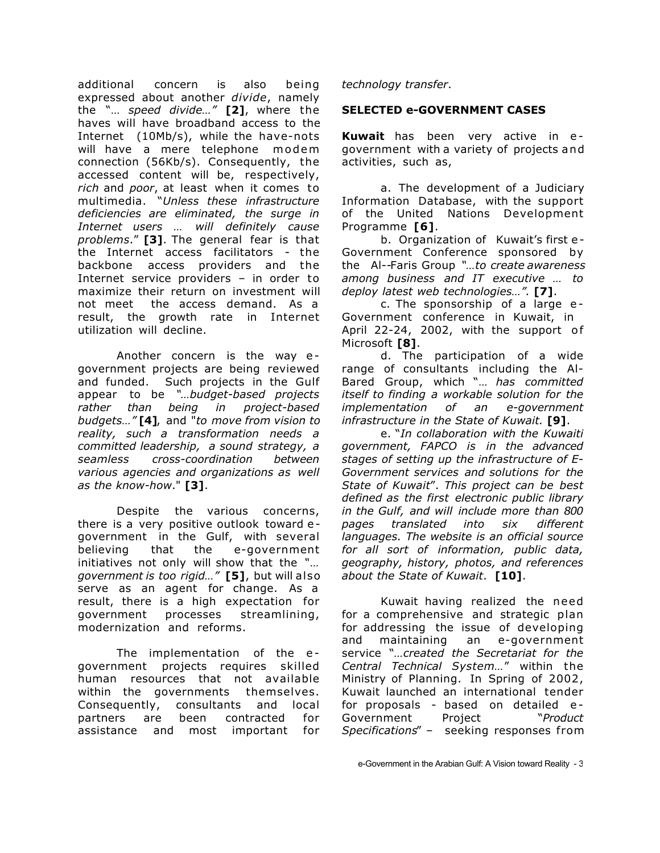additional concern is also being expressed about another *divide*, namely the "… *speed divide…"* **[2]**, where the haves will have broadband access to the Internet (10Mb/s), while the have-nots will have a mere telephone modem connection (56Kb/s). Consequently, the accessed content will be, respectively, *rich* and *poor*, at least when it comes to multimedia. "*Unless these infrastructure deficiencies are eliminated, the surge in Internet users … will definitely cause problems*." **[3]**. The general fear is that the Internet access facilitators - the backbone access providers and the Internet service providers – in order to maximize their return on investment will not meet the access demand. As a result, the growth rate in Internet utilization will decline.

Another concern is the way e government projects are being reviewed and funded. Such projects in the Gulf appear to be *"…budget-based projects rather than being in project-based budgets…"* **[4]**, and "*to move from vision to reality, such a transformation needs a committed leadership, a sound strategy, a seamless cross-coordination between various agencies and organizations as well as the know-how*." **[3]**.

Despite the various concerns, there is a very positive outlook toward e government in the Gulf, with several believing that the e-government initiatives not only will show that the *"… government is too rigid…"* **[5]**, but will also serve as an agent for change. As a result, there is a high expectation for government processes streamlining, modernization and reforms.

The implementation of the egovernment projects requires skilled human resources that not available within the governments themselves. Consequently, consultants and local partners are been contracted for assistance and most important for

*technology transfer*.

### **SELECTED e-GOVERNMENT CASES**

**Kuwait** has been very active in e government with a variety of projects and activities, such as,

a. The development of a Judiciary Information Database, with the support of the United Nations Development Programme **[6]**.

b. Organization of Kuwait's first e - Government Conference sponsored by the Al--Faris Group *"…to create awareness among business and IT executive … to deploy latest web technologies…".* **[7]**.

c. The sponsorship of a large e - Government conference in Kuwait, in April 22-24, 2002, with the support of Microsoft **[8]**.

d. The participation of a wide range of consultants including the Al-Bared Group, which "… *has committed itself to finding a workable solution for the implementation of an e-government infrastructure in the State of Kuwait.* **[9]**.

e. "*In collaboration with the Kuwaiti government, FAPCO is in the advanced stages of setting up the infrastructure of E-Government services and solutions for the State of Kuwait*". *This project can be best defined as the first electronic public library in the Gulf, and will include more than 800 pages translated into six different languages. The website is an official source for all sort of information, public data, geography, history, photos, and references about the State of Kuwait*. **[10]**.

Kuwait having realized the need for a comprehensive and strategic plan for addressing the issue of developing and maintaining an e-government service "*…created the Secretariat for the Central Technical System…*" within the Ministry of Planning. In Spring of 2002, Kuwait launched an international tender for proposals - based on detailed e - Government Project "*Product Specifications*" – seeking responses from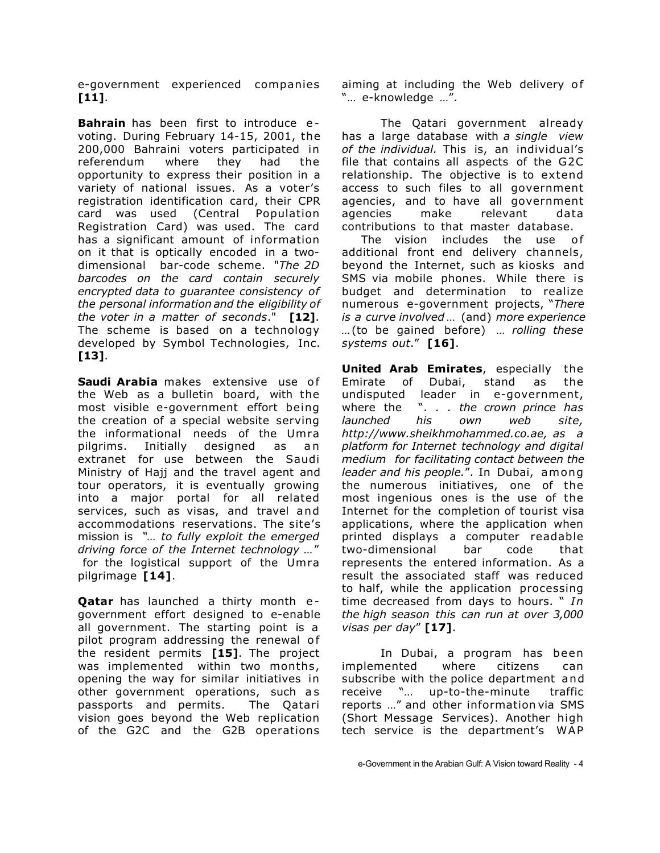e-government experienced companies **[11]**.

**Bahrain** has been first to introduce evoting. During February 14-15, 2001, the 200,000 Bahraini voters participated in referendum where they had the opportunity to express their position in a variety of national issues. As a voter's registration identification card, their CPR card was used (Central Population Registration Card) was used. The card has a significant amount of information on it that is optically encoded in a twodimensional bar-code scheme. "*The 2D barcodes on the card contain securely encrypted data to guarantee consistency of the personal information and the eligibility of the voter in a matter of seconds*." **[12]**. The scheme is based on a technology developed by Symbol Technologies, Inc. **[13]**.

**Saudi Arabia** makes extensive use of the Web as a bulletin board, with the most visible e-government effort being the creation of a special website serving the informational needs of the Umra pilgrims. Initially designed as an extranet for use between the Saudi Ministry of Hajj and the travel agent and tour operators, it is eventually growing into a major portal for all related services, such as visas, and travel and accommodations reservations. The site's mission is *"… to fully exploit the emerged driving force of the Internet technology …*" for the logistical support of the Umra pilgrimage **[14]**.

**Qatar** has launched a thirty month egovernment effort designed to e-enable all government. The starting point is a pilot program addressing the renewal of the resident permits **[15]**. The project was implemented within two months, opening the way for similar initiatives in other government operations, such as passports and permits. The Qatari vision goes beyond the Web replication of the G2C and the G2B operations

aiming at including the Web delivery of "… e-knowledge …".

The Qatari government already has a large database with *a single view of the individual.* This is, an individual's file that contains all aspects of the G2C relationship. The objective is to extend access to such files to all government agencies, and to have all government agencies make relevant data contributions to that master database.

The vision includes the use of additional front end delivery channels, beyond the Internet, such as kiosks and SMS via mobile phones. While there is budget and determination to realize numerous e-government projects, "*There is a curve involved* … (and) *more experience …*(to be gained before) … *rolling these systems out*." **[16]**.

**United Arab Emirates**, especially the Emirate of Dubai, stand as the undisputed leader in e-government, where the "*. . . the crown prince has launched his own web site, http://www.sheikhmohammed.co.ae, as a platform for Internet technology and digital medium for facilitating contact between the leader and his people.*". In Dubai, among the numerous initiatives, one of the most ingenious ones is the use of the Internet for the completion of tourist visa applications, where the application when printed displays a computer readable two-dimensional bar code that represents the entered information. As a result the associated staff was reduced to half, while the application processing time decreased from days to hours. " *In the high season this can run at over 3,000 visas per day*" **[17]**.

In Dubai, a program has been implemented where citizens can subscribe with the police department and receive "… up-to-the-minute traffic reports …" and other information via SMS (Short Message Services). Another high tech service is the department's WAP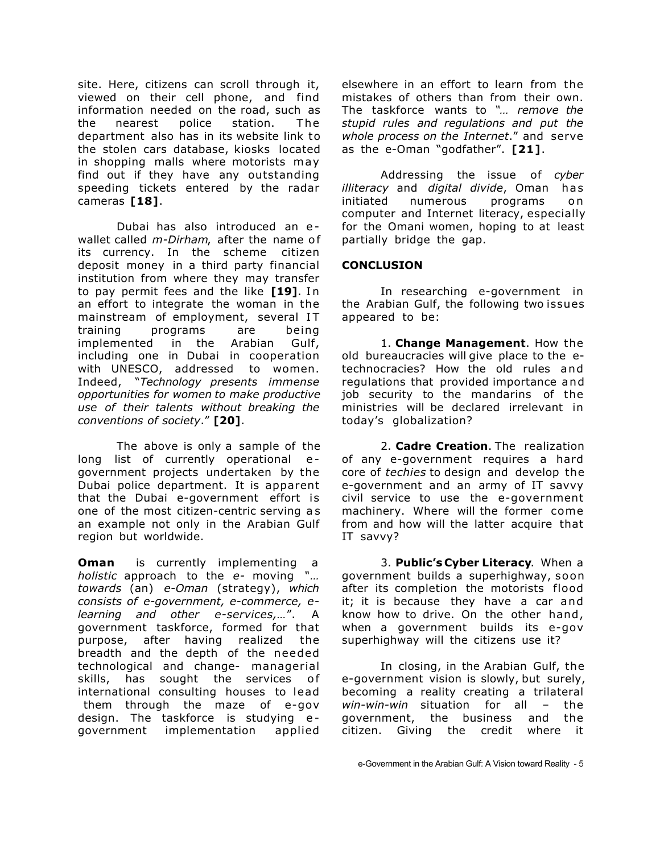site. Here, citizens can scroll through it, viewed on their cell phone, and find information needed on the road, such as the nearest police station. The department also has in its website link to the stolen cars database, kiosks located in shopping malls where motorists may find out if they have any outstanding speeding tickets entered by the radar cameras **[18]**.

Dubai has also introduced an e wallet called *m-Dirham*, after the name of its currency. In the scheme citizen deposit money in a third party financial institution from where they may transfer to pay permit fees and the like **[19]**. In an effort to integrate the woman in the mainstream of employment, several IT training programs are being implemented in the Arabian Gulf, including one in Dubai in cooperation with UNESCO, addressed to women. Indeed, "*Technology presents immense opportunities for women to make productive use of their talents without breaking the conventions of society*." **[20]**.

The above is only a sample of the long list of currently operational egovernment projects undertaken by the Dubai police department. It is apparent that the Dubai e-government effort is one of the most citizen-centric serving a s an example not only in the Arabian Gulf region but worldwide.

**Oman** is currently implementing *holistic* approach to the *e-* moving *"… towards* (an) *e-Oman* (strategy), *which consists of e-government, e-commerce, elearning and other e-services,…*". A government taskforce, formed for that purpose, after having realized the breadth and the depth of the needed technological and change- managerial skills, has sought the services of international consulting houses to lead them through the maze of e-gov design. The taskforce is studying egovernment implementation applied elsewhere in an effort to learn from the mistakes of others than from their own. The taskforce wants to *"… remove the stupid rules and regulations and put the whole process on the Internet*." and serve as the e-Oman "godfather". **[21]**.

Addressing the issue of *cyber illiteracy* and *digital divide*, Oman has initiated numerous programs on computer and Internet literacy, especially for the Omani women, hoping to at least partially bridge the gap.

### **CONCLUSION**

In researching e-government in the Arabian Gulf, the following two issues appeared to be:

1. **Change Management**. How the old bureaucracies will give place to the etechnocracies? How the old rules and regulations that provided importance and job security to the mandarins of the ministries will be declared irrelevant in today's globalization?

2. **Cadre Creation**. The realization of any e-government requires a hard core of *techies* to design and develop the e-government and an army of IT savvy civil service to use the e-government machinery. Where will the former come from and how will the latter acquire that IT savvy?

3. **Public's Cyber Literacy**. When a government builds a superhighway, soon after its completion the motorists flood it; it is because they have a car and know how to drive. On the other hand, when a government builds its e-gov superhighway will the citizens use it?

In closing, in the Arabian Gulf, the e-government vision is slowly, but surely, becoming a reality creating a trilateral *win-win-win* situation for all – the government, the business and the the business and the citizen. Giving the credit where it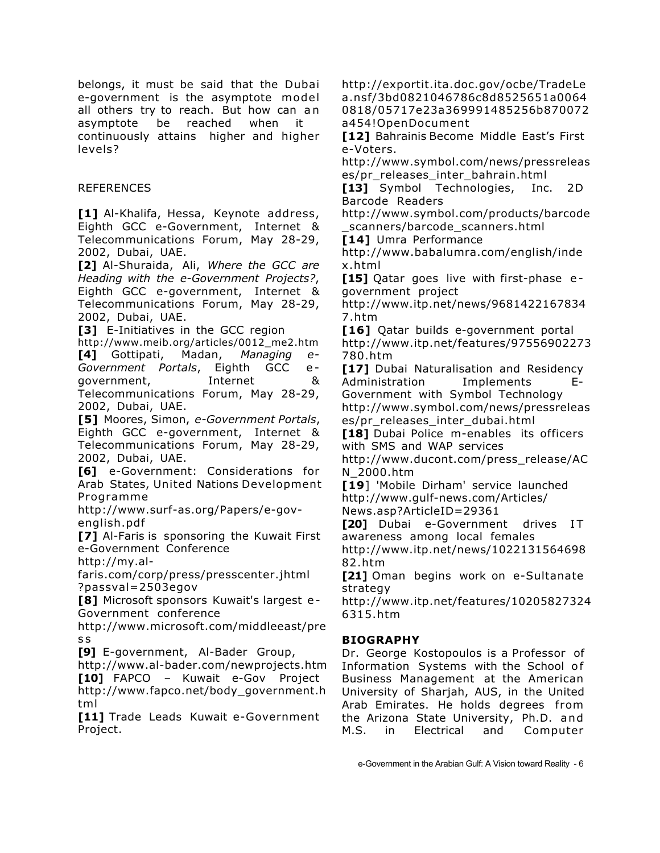belongs, it must be said that the Dubai e-government is the asymptote model all others try to reach. But how can an asymptote be reached when it continuously attains higher and higher levels?

# REFERENCES

**[1]** Al-Khalifa, Hessa, Keynote address, Eighth GCC e-Government, Internet & Telecommunications Forum, May 28-29, 2002, Dubai, UAE.

**[2]** Al-Shuraida, Ali, *Where the GCC are Heading with the e-Government Projects?*, Eighth GCC e-government, Internet & Telecommunications Forum, May 28-29, 2002, Dubai, UAE.

**[3]** E-Initiatives in the GCC region

http://www.meib.org/articles/0012\_me2.htm **[4]** Gottipati, Madan, *Managing e-Government Portals*, Eighth GCC e government, Internet & Telecommunications Forum, May 28-29, 2002, Dubai, UAE.

**[5]** Moores, Simon, *e-Government Portals*, Eighth GCC e-government, Internet & Telecommunications Forum, May 28-29, 2002, Dubai, UAE.

**[6]** e-Government: Considerations for Arab States, United Nations Development Programme

http://www.surf-as.org/Papers/e-govenglish.pdf

**[7]** Al-Faris is sponsoring the Kuwait First e-Government Conference

http://my.al-

faris.com/corp/press/presscenter.jhtml ?passval=2503egov

**[8]** Microsoft sponsors Kuwait's largest e - Government conference

http://www.microsoft.com/middleeast/pre s s

**[9]** E-government, Al-Bader Group,

http://www.al-bader.com/newprojects.htm **[10]** FAPCO – Kuwait e-Gov Project http://www.fapco.net/body\_government.h tml

**[11]** Trade Leads Kuwait e-Government Project.

http://exportit.ita.doc.gov/ocbe/TradeLe a.nsf/3bd0821046786c8d8525651a0064 0818/05717e23a369991485256b870072 a454!OpenDocument

**[12]** Bahrainis Become Middle East's First e-Voters.

http://www.symbol.com/news/pressreleas es/pr\_releases\_inter\_bahrain.html

**[13]** Symbol Technologies, Inc. 2D Barcode Readers

http://www.symbol.com/products/barcode scanners/barcode scanners.html

**[14]** Umra Performance

http://www.babalumra.com/english/inde x.html

[15] Qatar goes live with first-phase egovernment project

http://www.itp.net/news/9681422167834 7.htm

**[16]** Oatar builds e-government portal http://www.itp.net/features/97556902273 780.htm

**[17]** Dubai Naturalisation and Residency Administration Implements E-Government with Symbol Technology http://www.symbol.com/news/pressreleas es/pr\_releases\_inter\_dubai.html

**[18]** Dubai Police m-enables its officers with SMS and WAP services

http://www.ducont.com/press\_release/AC N\_2000.htm

**[19**] 'Mobile Dirham' service launched http://www.gulf-news.com/Articles/ News.asp?ArticleID=29361

[20] Dubai e-Government drives IT awareness among local females http://www.itp.net/news/1022131564698 82.htm

**[21]** Oman begins work on e-Sultanate strategy

http://www.itp.net/features/10205827324 6315.htm

# **BIOGRAPHY**

Dr. George Kostopoulos is a Professor of Information Systems with the School of Business Management at the American University of Sharjah, AUS, in the United Arab Emirates. He holds degrees from the Arizona State University, Ph.D. and M.S. in Electrical and Computer